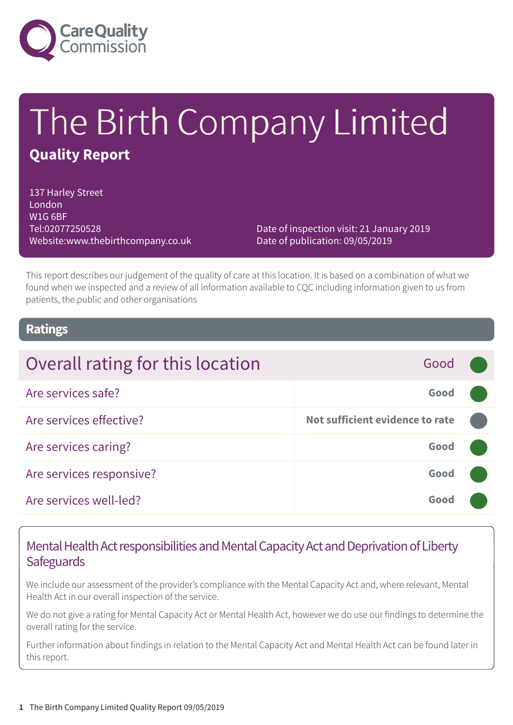

# The Birth Company Limited **Quality Report**

137 Harley Street London W1G 6BF Tel:02077250528 Website:www.thebirthcompany.co.uk

Date of inspection visit: 21 January 2019 Date of publication: 09/05/2019

This report describes our judgement of the quality of care at this location. It is based on a combination of what we found when we inspected and a review of all information available to CQC including information given to us from patients, the public and other organisations

### **Ratings**

| Overall rating for this location | Good                            |  |
|----------------------------------|---------------------------------|--|
| Are services safe?               | Good                            |  |
| Are services effective?          | Not sufficient evidence to rate |  |
| Are services caring?             | Good                            |  |
| Are services responsive?         | Good                            |  |
| Are services well-led?           | Good                            |  |

### Mental Health Act responsibilities and Mental Capacity Act and Deprivation of Liberty **Safeguards**

We include our assessment of the provider's compliance with the Mental Capacity Act and, where relevant, Mental Health Act in our overall inspection of the service.

We do not give a rating for Mental Capacity Act or Mental Health Act, however we do use our findings to determine the overall rating for the service.

Further information about findings in relation to the Mental Capacity Act and Mental Health Act can be found later in this report.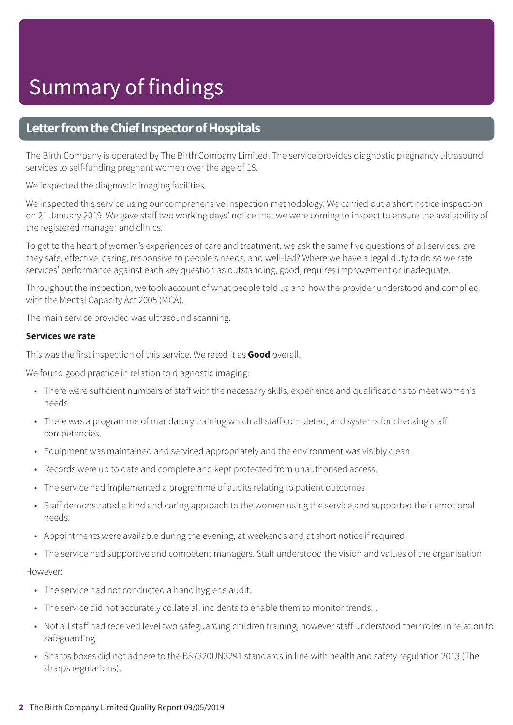### **Letter from the Chief Inspector of Hospitals**

The Birth Company is operated by The Birth Company Limited. The service provides diagnostic pregnancy ultrasound services to self-funding pregnant women over the age of 18.

We inspected the diagnostic imaging facilities.

We inspected this service using our comprehensive inspection methodology. We carried out a short notice inspection on 21 January 2019. We gave staff two working days' notice that we were coming to inspect to ensure the availability of the registered manager and clinics.

To get to the heart of women's experiences of care and treatment, we ask the same five questions of all services: are they safe, effective, caring, responsive to people's needs, and well-led? Where we have a legal duty to do so we rate services' performance against each key question as outstanding, good, requires improvement or inadequate.

Throughout the inspection, we took account of what people told us and how the provider understood and complied with the Mental Capacity Act 2005 (MCA).

The main service provided was ultrasound scanning.

#### **Services we rate**

This was the first inspection of this service. We rated it as **Good** overall.

We found good practice in relation to diagnostic imaging:

- There were sufficient numbers of staff with the necessary skills, experience and qualifications to meet women's needs.
- There was a programme of mandatory training which all staff completed, and systems for checking staff competencies.
- Equipment was maintained and serviced appropriately and the environment was visibly clean.
- Records were up to date and complete and kept protected from unauthorised access.
- The service had implemented a programme of audits relating to patient outcomes
- Staff demonstrated a kind and caring approach to the women using the service and supported their emotional needs.
- Appointments were available during the evening, at weekends and at short notice if required.
- The service had supportive and competent managers. Staff understood the vision and values of the organisation.

#### However:

- The service had not conducted a hand hygiene audit.
- The service did not accurately collate all incidents to enable them to monitor trends. .
- Not all staff had received level two safeguarding children training, however staff understood their roles in relation to safeguarding.
- Sharps boxes did not adhere to the BS7320UN3291 standards in line with health and safety regulation 2013 (The sharps regulations).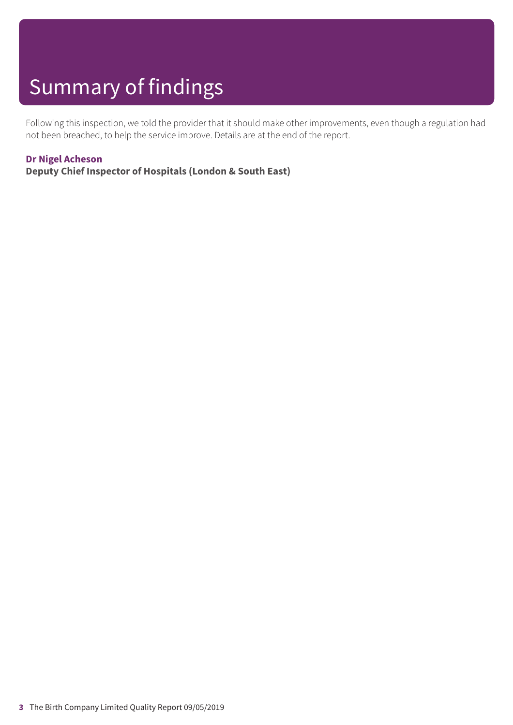# Summary of findings

Following this inspection, we told the provider that it should make other improvements, even though a regulation had not been breached, to help the service improve. Details are at the end of the report.

#### **Dr Nigel Acheson**

**Deputy Chief Inspector of Hospitals (London & South East)**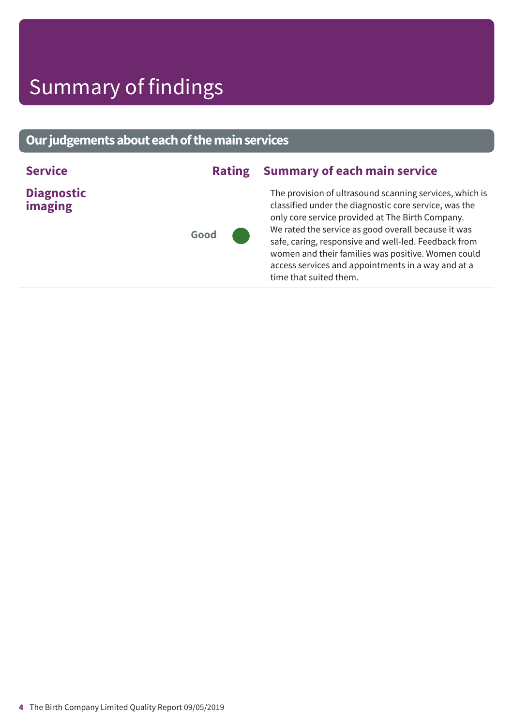# Summary of findings

### **Ourjudgementsabouteachofthemainservices**

| <b>Service</b>               |      | <b>Rating Summary of each main service</b>                                                                                                                                                                                                                                                                                                                                                                                |
|------------------------------|------|---------------------------------------------------------------------------------------------------------------------------------------------------------------------------------------------------------------------------------------------------------------------------------------------------------------------------------------------------------------------------------------------------------------------------|
| <b>Diagnostic</b><br>imaging | Good | The provision of ultrasound scanning services, which is<br>classified under the diagnostic core service, was the<br>only core service provided at The Birth Company.<br>We rated the service as good overall because it was<br>safe, caring, responsive and well-led. Feedback from<br>women and their families was positive. Women could<br>access services and appointments in a way and at a<br>time that suited them. |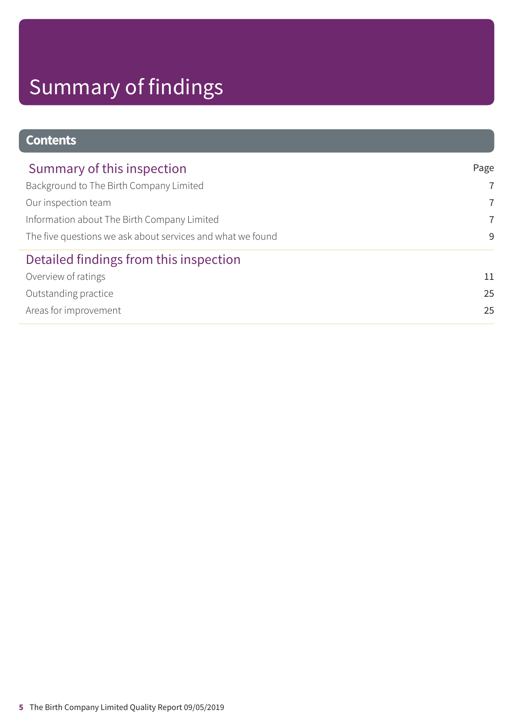# Summary of findings

### **Contents**

| Summary of this inspection                                 | Page           |  |
|------------------------------------------------------------|----------------|--|
| Background to The Birth Company Limited                    | $\overline{7}$ |  |
| Our inspection team                                        | $\overline{7}$ |  |
| Information about The Birth Company Limited                | $\overline{7}$ |  |
| The five questions we ask about services and what we found | 9              |  |
| Detailed findings from this inspection                     |                |  |
| Overview of ratings                                        | 11             |  |
| Outstanding practice                                       | 25             |  |
| Areas for improvement                                      | 25             |  |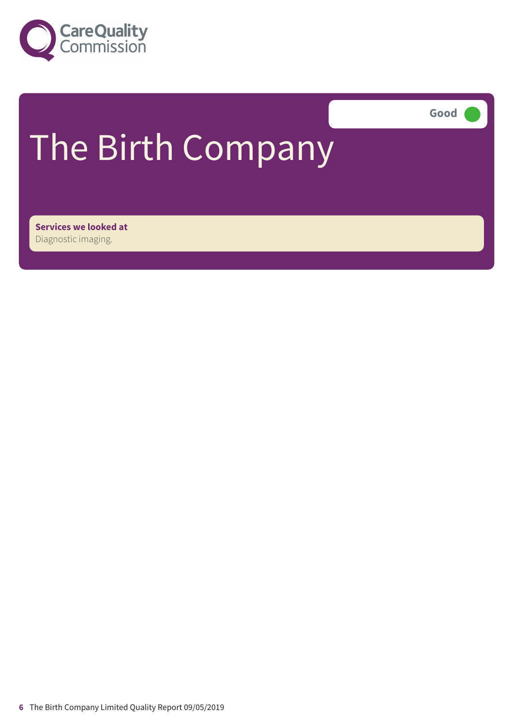

**Good –––**

# The Birth Company

**Services we looked at** Diagnostic imaging.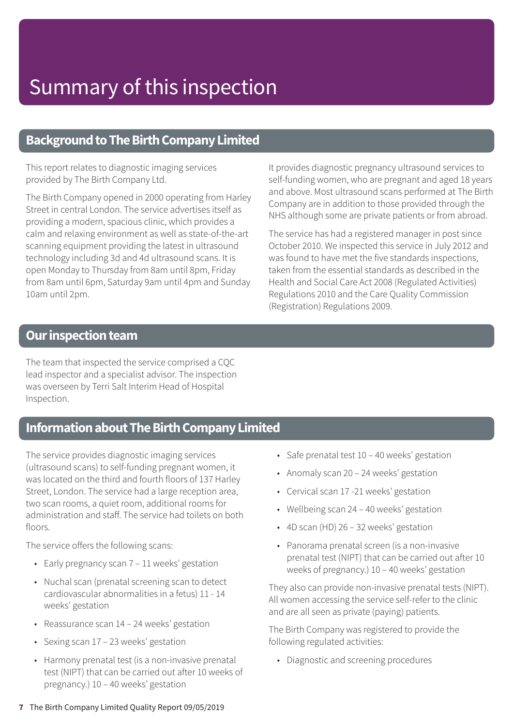### **Background to The Birth Company Limited**

This report relates to diagnostic imaging services provided by The Birth Company Ltd.

The Birth Company opened in 2000 operating from Harley Street in central London. The service advertises itself as providing a modern, spacious clinic, which provides a calm and relaxing environment as well as state-of-the-art scanning equipment providing the latest in ultrasound technology including 3d and 4d ultrasound scans. It is open Monday to Thursday from 8am until 8pm, Friday from 8am until 6pm, Saturday 9am until 4pm and Sunday 10am until 2pm.

It provides diagnostic pregnancy ultrasound services to self-funding women, who are pregnant and aged 18 years and above. Most ultrasound scans performed at The Birth Company are in addition to those provided through the NHS although some are private patients or from abroad.

The service has had a registered manager in post since October 2010. We inspected this service in July 2012 and was found to have met the five standards inspections, taken from the essential standards as described in the Health and Social Care Act 2008 (Regulated Activities) Regulations 2010 and the Care Quality Commission (Registration) Regulations 2009.

### **Our inspection team**

The team that inspected the service comprised a CQC lead inspector and a specialist advisor. The inspection was overseen by Terri Salt Interim Head of Hospital Inspection.

### **Information about The Birth Company Limited**

The service provides diagnostic imaging services (ultrasound scans) to self-funding pregnant women, it was located on the third and fourth floors of 137 Harley Street, London. The service had a large reception area, two scan rooms, a quiet room, additional rooms for administration and staff. The service had toilets on both floors.

The service offers the following scans:

- Early pregnancy scan 7 11 weeks' gestation
- Nuchal scan (prenatal screening scan to detect cardiovascular abnormalities in a fetus) 11 - 14 weeks' gestation
- Reassurance scan 14 24 weeks' gestation
- Sexing scan 17 23 weeks' gestation
- Harmony prenatal test (is a non-invasive prenatal test (NIPT) that can be carried out after 10 weeks of pregnancy.) 10 – 40 weeks' gestation
- Safe prenatal test 10 40 weeks' gestation
- Anomaly scan 20 24 weeks' gestation
- Cervical scan 17 -21 weeks' gestation
- Wellbeing scan 24 40 weeks' gestation
- 4D scan (HD) 26 32 weeks' gestation
- Panorama prenatal screen (is a non-invasive prenatal test (NIPT) that can be carried out after 10 weeks of pregnancy.) 10 – 40 weeks' gestation

They also can provide non-invasive prenatal tests (NIPT). All women accessing the service self-refer to the clinic and are all seen as private (paying) patients.

The Birth Company was registered to provide the following regulated activities:

• Diagnostic and screening procedures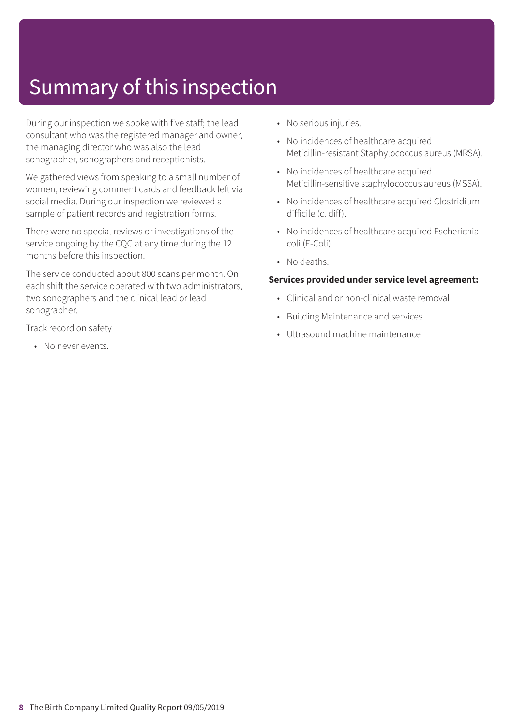# Summary of this inspection

During our inspection we spoke with five staff; the lead consultant who was the registered manager and owner, the managing director who was also the lead sonographer, sonographers and receptionists.

We gathered views from speaking to a small number of women, reviewing comment cards and feedback left via social media. During our inspection we reviewed a sample of patient records and registration forms.

There were no special reviews or investigations of the service ongoing by the CQC at any time during the 12 months before this inspection.

The service conducted about 800 scans per month. On each shift the service operated with two administrators, two sonographers and the clinical lead or lead sonographer.

Track record on safety

• No never events

- No serious injuries.
- No incidences of healthcare acquired Meticillin-resistant Staphylococcus aureus (MRSA).
- No incidences of healthcare acquired Meticillin-sensitive staphylococcus aureus (MSSA).
- No incidences of healthcare acquired Clostridium difficile (c. diff).
- No incidences of healthcare acquired Escherichia coli (E-Coli).
- No deaths.

#### **Services provided under service level agreement:**

- Clinical and or non-clinical waste removal
- Building Maintenance and services
- Ultrasound machine maintenance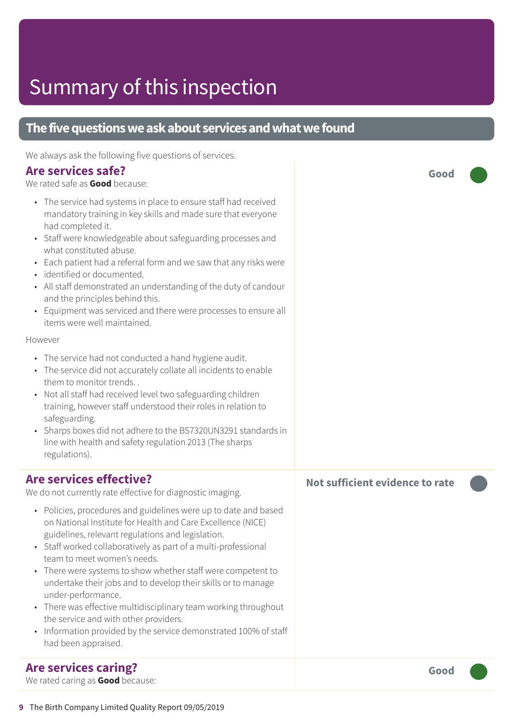# Summary of this inspection

| The five questions we ask about services and what we found                                                                                                                                                                                                                                                                                                                                                                                                                                                                                                                                                                                                                                                                                                                                                                                                                                                                                                                                                                                                                                                                                            |                                 |  |  |  |  |
|-------------------------------------------------------------------------------------------------------------------------------------------------------------------------------------------------------------------------------------------------------------------------------------------------------------------------------------------------------------------------------------------------------------------------------------------------------------------------------------------------------------------------------------------------------------------------------------------------------------------------------------------------------------------------------------------------------------------------------------------------------------------------------------------------------------------------------------------------------------------------------------------------------------------------------------------------------------------------------------------------------------------------------------------------------------------------------------------------------------------------------------------------------|---------------------------------|--|--|--|--|
| We always ask the following five questions of services.<br><b>Are services safe?</b><br>We rated safe as Good because:<br>• The service had systems in place to ensure staff had received<br>mandatory training in key skills and made sure that everyone<br>had completed it.<br>• Staff were knowledgeable about safeguarding processes and<br>what constituted abuse.<br>Each patient had a referral form and we saw that any risks were<br>· identified or documented.<br>• All staff demonstrated an understanding of the duty of candour<br>and the principles behind this.<br>• Equipment was serviced and there were processes to ensure all<br>items were well maintained.<br>However<br>• The service had not conducted a hand hygiene audit.<br>• The service did not accurately collate all incidents to enable<br>them to monitor trends<br>• Not all staff had received level two safeguarding children<br>training, however staff understood their roles in relation to<br>safeguarding.<br>• Sharps boxes did not adhere to the BS7320UN3291 standards in<br>line with health and safety regulation 2013 (The sharps<br>regulations). | Good                            |  |  |  |  |
| <b>Are services effective?</b><br>We do not currently rate effective for diagnostic imaging.<br>• Policies, procedures and guidelines were up to date and based<br>on National Institute for Health and Care Excellence (NICE)<br>guidelines, relevant regulations and legislation.<br>Staff worked collaboratively as part of a multi-professional<br>team to meet women's needs.<br>There were systems to show whether staff were competent to<br>$\bullet$<br>undertake their jobs and to develop their skills or to manage<br>under-performance.<br>There was effective multidisciplinary team working throughout<br>$\bullet$<br>the service and with other providers.<br>Information provided by the service demonstrated 100% of staff<br>had been appraised.                                                                                                                                                                                                                                                                                                                                                                                  | Not sufficient evidence to rate |  |  |  |  |
| <b>Are services caring?</b><br>We rated caring as Good because:                                                                                                                                                                                                                                                                                                                                                                                                                                                                                                                                                                                                                                                                                                                                                                                                                                                                                                                                                                                                                                                                                       | Good                            |  |  |  |  |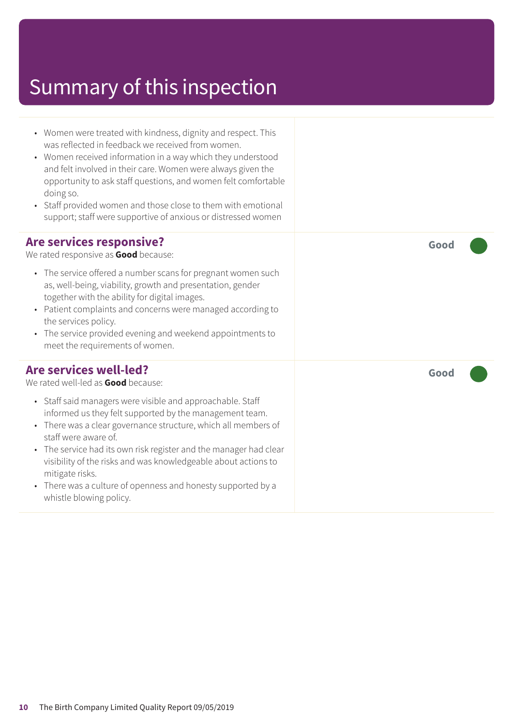### Summary of this inspection

- Women were treated with kindness, dignity and respect. This was reflected in feedback we received from women.
- Women received information in a way which they understood and felt involved in their care. Women were always given the opportunity to ask staff questions, and women felt comfortable doing so.
- Staff provided women and those close to them with emotional support; staff were supportive of anxious or distressed women

#### **Are services responsive?**

We rated responsive as **Good** because:

- The service offered a number scans for pregnant women such as, well-being, viability, growth and presentation, gender together with the ability for digital images.
- Patient complaints and concerns were managed according to the services policy.
- The service provided evening and weekend appointments to meet the requirements of women.

### **Are services well-led?**

We rated well-led as **Good** because:

- Staff said managers were visible and approachable. Staff informed us they felt supported by the management team.
- There was a clear governance structure, which all members of staff were aware of.
- The service had its own risk register and the manager had clear visibility of the risks and was knowledgeable about actions to mitigate risks.
- There was a culture of openness and honesty supported by a whistle blowing policy.

**Good –––**

**Good –––**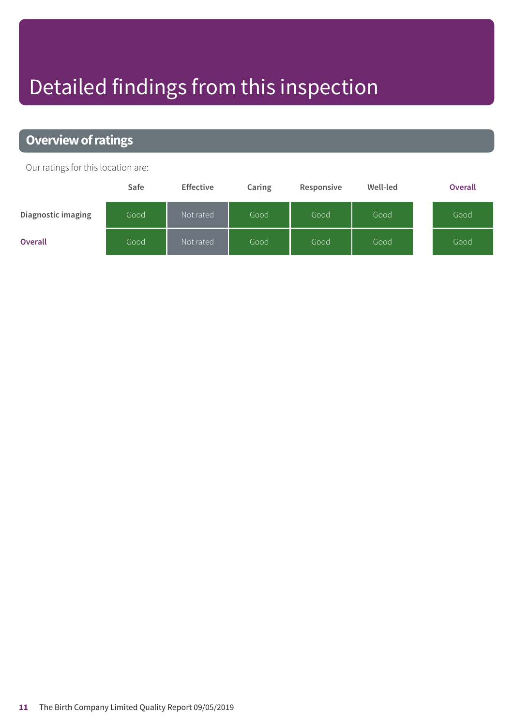# Detailed findings from this inspection

### **Overview of ratings**

Our ratings for this location are:

|                           | Safe | <b>Effective</b> | Caring | Responsive | Well-led | <b>Overall</b> |
|---------------------------|------|------------------|--------|------------|----------|----------------|
| <b>Diagnostic imaging</b> | Good | Not rated        | Good   | Good       | Good     | Good           |
| <b>Overall</b>            | Good | Not rated        | Good   | Good       | Good     | Good           |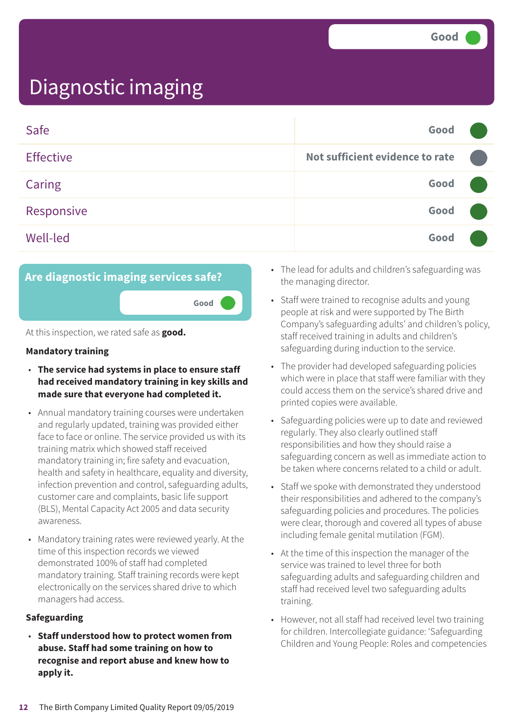| Safe             | Good                            |  |
|------------------|---------------------------------|--|
| <b>Effective</b> | Not sufficient evidence to rate |  |
| <b>Caring</b>    | Good                            |  |
| Responsive       | Good                            |  |
| <b>Well-led</b>  | Good                            |  |



At this inspection, we rated safe as **good.**

#### **Mandatory training**

- **The service had systems in place to ensure staff had received mandatory training in key skills and made sure that everyone had completed it.**
- Annual mandatory training courses were undertaken and regularly updated, training was provided either face to face or online. The service provided us with its training matrix which showed staff received mandatory training in; fire safety and evacuation, health and safety in healthcare, equality and diversity, infection prevention and control, safeguarding adults, customer care and complaints, basic life support (BLS), Mental Capacity Act 2005 and data security awareness.
- Mandatory training rates were reviewed yearly. At the time of this inspection records we viewed demonstrated 100% of staff had completed mandatory training. Staff training records were kept electronically on the services shared drive to which managers had access.

#### **Safeguarding**

• **Staff understood how to protect women from abuse. Staff had some training on how to recognise and report abuse and knew how to apply it.**

- The lead for adults and children's safeguarding was the managing director.
- Staff were trained to recognise adults and young people at risk and were supported by The Birth Company's safeguarding adults' and children's policy, staff received training in adults and children's safeguarding during induction to the service.
- The provider had developed safeguarding policies which were in place that staff were familiar with they could access them on the service's shared drive and printed copies were available.
- Safeguarding policies were up to date and reviewed regularly. They also clearly outlined staff responsibilities and how they should raise a safeguarding concern as well as immediate action to be taken where concerns related to a child or adult.
- Staff we spoke with demonstrated they understood their responsibilities and adhered to the company's safeguarding policies and procedures. The policies were clear, thorough and covered all types of abuse including female genital mutilation (FGM).
- At the time of this inspection the manager of the service was trained to level three for both safeguarding adults and safeguarding children and staff had received level two safeguarding adults training.
- However, not all staff had received level two training for children. Intercollegiate guidance: 'Safeguarding Children and Young People: Roles and competencies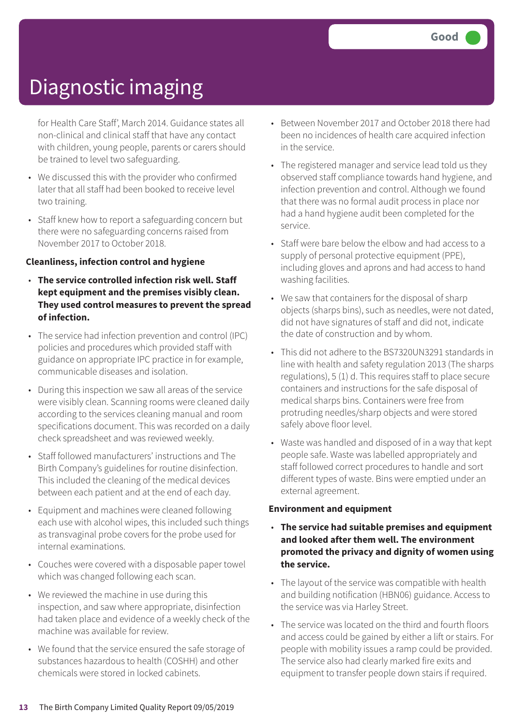for Health Care Staff', March 2014. Guidance states all non-clinical and clinical staff that have any contact with children, young people, parents or carers should be trained to level two safeguarding.

- We discussed this with the provider who confirmed later that all staff had been booked to receive level two training.
- Staff knew how to report a safeguarding concern but there were no safeguarding concerns raised from November 2017 to October 2018.

#### **Cleanliness, infection control and hygiene**

- **The service controlled infection risk well. Staff kept equipment and the premises visibly clean. They used control measures to prevent the spread of infection.**
- The service had infection prevention and control (IPC) policies and procedures which provided staff with guidance on appropriate IPC practice in for example, communicable diseases and isolation.
- During this inspection we saw all areas of the service were visibly clean. Scanning rooms were cleaned daily according to the services cleaning manual and room specifications document. This was recorded on a daily check spreadsheet and was reviewed weekly.
- Staff followed manufacturers' instructions and The Birth Company's guidelines for routine disinfection. This included the cleaning of the medical devices between each patient and at the end of each day.
- Equipment and machines were cleaned following each use with alcohol wipes, this included such things as transvaginal probe covers for the probe used for internal examinations.
- Couches were covered with a disposable paper towel which was changed following each scan.
- We reviewed the machine in use during this inspection, and saw where appropriate, disinfection had taken place and evidence of a weekly check of the machine was available for review.
- We found that the service ensured the safe storage of substances hazardous to health (COSHH) and other chemicals were stored in locked cabinets.
- Between November 2017 and October 2018 there had been no incidences of health care acquired infection in the service.
- The registered manager and service lead told us they observed staff compliance towards hand hygiene, and infection prevention and control. Although we found that there was no formal audit process in place nor had a hand hygiene audit been completed for the service.
- Staff were bare below the elbow and had access to a supply of personal protective equipment (PPE), including gloves and aprons and had access to hand washing facilities.
- We saw that containers for the disposal of sharp objects (sharps bins), such as needles, were not dated, did not have signatures of staff and did not, indicate the date of construction and by whom.
- This did not adhere to the BS7320UN3291 standards in line with health and safety regulation 2013 (The sharps regulations), 5 (1) d. This requires staff to place secure containers and instructions for the safe disposal of medical sharps bins. Containers were free from protruding needles/sharp objects and were stored safely above floor level.
- Waste was handled and disposed of in a way that kept people safe. Waste was labelled appropriately and staff followed correct procedures to handle and sort different types of waste. Bins were emptied under an external agreement.

#### **Environment and equipment**

- **The service had suitable premises and equipment and looked after them well. The environment promoted the privacy and dignity of women using the service.**
- The layout of the service was compatible with health and building notification (HBN06) guidance. Access to the service was via Harley Street.
- The service was located on the third and fourth floors and access could be gained by either a lift or stairs. For people with mobility issues a ramp could be provided. The service also had clearly marked fire exits and equipment to transfer people down stairs if required.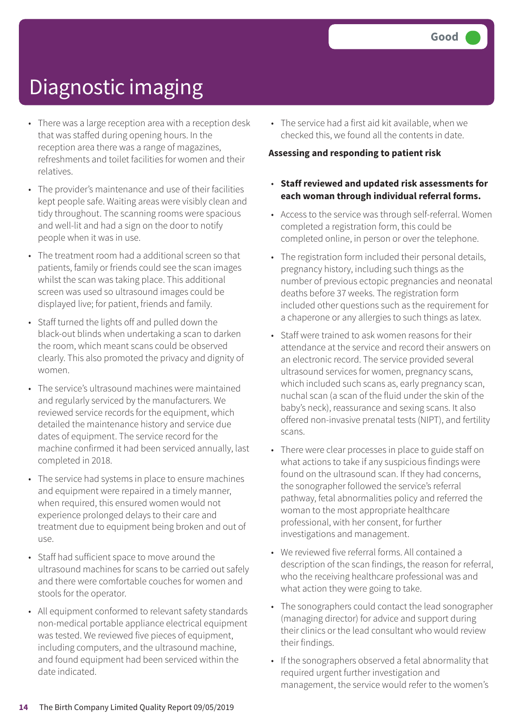- There was a large reception area with a reception desk that was staffed during opening hours. In the reception area there was a range of magazines, refreshments and toilet facilities for women and their relatives.
- The provider's maintenance and use of their facilities kept people safe. Waiting areas were visibly clean and tidy throughout. The scanning rooms were spacious and well-lit and had a sign on the door to notify people when it was in use.
- The treatment room had a additional screen so that patients, family or friends could see the scan images whilst the scan was taking place. This additional screen was used so ultrasound images could be displayed live; for patient, friends and family.
- Staff turned the lights off and pulled down the black-out blinds when undertaking a scan to darken the room, which meant scans could be observed clearly. This also promoted the privacy and dignity of women.
- The service's ultrasound machines were maintained and regularly serviced by the manufacturers. We reviewed service records for the equipment, which detailed the maintenance history and service due dates of equipment. The service record for the machine confirmed it had been serviced annually, last completed in 2018.
- The service had systems in place to ensure machines and equipment were repaired in a timely manner, when required, this ensured women would not experience prolonged delays to their care and treatment due to equipment being broken and out of use.
- Staff had sufficient space to move around the ultrasound machines for scans to be carried out safely and there were comfortable couches for women and stools for the operator.
- All equipment conformed to relevant safety standards non-medical portable appliance electrical equipment was tested. We reviewed five pieces of equipment, including computers, and the ultrasound machine, and found equipment had been serviced within the date indicated.

• The service had a first aid kit available, when we checked this, we found all the contents in date.

#### **Assessing and responding to patient risk**

- **Staff reviewed and updated risk assessments for each woman through individual referral forms.**
- Access to the service was through self-referral. Women completed a registration form, this could be completed online, in person or over the telephone.
- The registration form included their personal details, pregnancy history, including such things as the number of previous ectopic pregnancies and neonatal deaths before 37 weeks. The registration form included other questions such as the requirement for a chaperone or any allergies to such things as latex.
- Staff were trained to ask women reasons for their attendance at the service and record their answers on an electronic record. The service provided several ultrasound services for women, pregnancy scans, which included such scans as, early pregnancy scan, nuchal scan (a scan of the fluid under the skin of the baby's neck), reassurance and sexing scans. It also offered non-invasive prenatal tests (NIPT), and fertility scans.
- There were clear processes in place to guide staff on what actions to take if any suspicious findings were found on the ultrasound scan. If they had concerns, the sonographer followed the service's referral pathway, fetal abnormalities policy and referred the woman to the most appropriate healthcare professional, with her consent, for further investigations and management.
- We reviewed five referral forms. All contained a description of the scan findings, the reason for referral, who the receiving healthcare professional was and what action they were going to take.
- The sonographers could contact the lead sonographer (managing director) for advice and support during their clinics or the lead consultant who would review their findings.
- If the sonographers observed a fetal abnormality that required urgent further investigation and management, the service would refer to the women's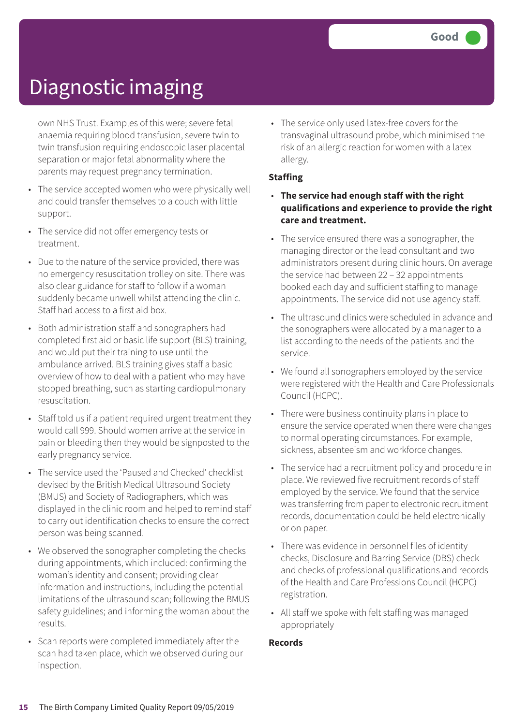own NHS Trust. Examples of this were; severe fetal anaemia requiring blood transfusion, severe twin to twin transfusion requiring endoscopic laser placental separation or major fetal abnormality where the parents may request pregnancy termination.

- The service accepted women who were physically well and could transfer themselves to a couch with little support.
- The service did not offer emergency tests or treatment.
- Due to the nature of the service provided, there was no emergency resuscitation trolley on site. There was also clear guidance for staff to follow if a woman suddenly became unwell whilst attending the clinic. Staff had access to a first aid box.
- Both administration staff and sonographers had completed first aid or basic life support (BLS) training, and would put their training to use until the ambulance arrived. BLS training gives staff a basic overview of how to deal with a patient who may have stopped breathing, such as starting cardiopulmonary resuscitation.
- Staff told us if a patient required urgent treatment they would call 999. Should women arrive at the service in pain or bleeding then they would be signposted to the early pregnancy service.
- The service used the 'Paused and Checked' checklist devised by the British Medical Ultrasound Society (BMUS) and Society of Radiographers, which was displayed in the clinic room and helped to remind staff to carry out identification checks to ensure the correct person was being scanned.
- We observed the sonographer completing the checks during appointments, which included: confirming the woman's identity and consent; providing clear information and instructions, including the potential limitations of the ultrasound scan; following the BMUS safety guidelines; and informing the woman about the results.
- Scan reports were completed immediately after the scan had taken place, which we observed during our inspection.

• The service only used latex-free covers for the transvaginal ultrasound probe, which minimised the risk of an allergic reaction for women with a latex allergy.

#### **Staffing**

- **The service had enough staff with the right qualifications and experience to provide the right care and treatment.**
- The service ensured there was a sonographer, the managing director or the lead consultant and two administrators present during clinic hours. On average the service had between 22 – 32 appointments booked each day and sufficient staffing to manage appointments. The service did not use agency staff.
- The ultrasound clinics were scheduled in advance and the sonographers were allocated by a manager to a list according to the needs of the patients and the service.
- We found all sonographers employed by the service were registered with the Health and Care Professionals Council (HCPC).
- There were business continuity plans in place to ensure the service operated when there were changes to normal operating circumstances. For example, sickness, absenteeism and workforce changes.
- The service had a recruitment policy and procedure in place. We reviewed five recruitment records of staff employed by the service. We found that the service was transferring from paper to electronic recruitment records, documentation could be held electronically or on paper.
- There was evidence in personnel files of identity checks, Disclosure and Barring Service (DBS) check and checks of professional qualifications and records of the Health and Care Professions Council (HCPC) registration.
- All staff we spoke with felt staffing was managed appropriately

#### **Records**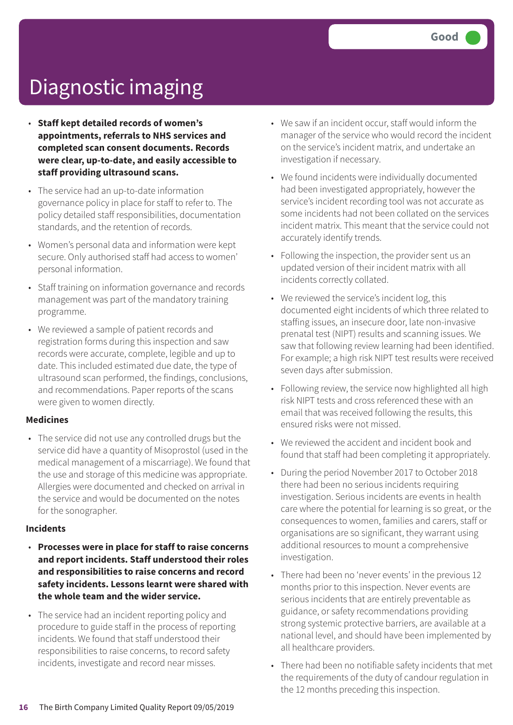- **Staff kept detailed records of women's appointments, referrals to NHS services and completed scan consent documents. Records were clear, up-to-date, and easily accessible to staff providing ultrasound scans.**
- The service had an up-to-date information governance policy in place for staff to refer to. The policy detailed staff responsibilities, documentation standards, and the retention of records.
- Women's personal data and information were kept secure. Only authorised staff had access to women' personal information.
- Staff training on information governance and records management was part of the mandatory training programme.
- We reviewed a sample of patient records and registration forms during this inspection and saw records were accurate, complete, legible and up to date. This included estimated due date, the type of ultrasound scan performed, the findings, conclusions, and recommendations. Paper reports of the scans were given to women directly.

#### **Medicines**

• The service did not use any controlled drugs but the service did have a quantity of Misoprostol (used in the medical management of a miscarriage). We found that the use and storage of this medicine was appropriate. Allergies were documented and checked on arrival in the service and would be documented on the notes for the sonographer.

#### **Incidents**

- **Processes were in place for staff to raise concerns and report incidents. Staff understood their roles and responsibilities to raise concerns and record safety incidents. Lessons learnt were shared with the whole team and the wider service.**
- The service had an incident reporting policy and procedure to guide staff in the process of reporting incidents. We found that staff understood their responsibilities to raise concerns, to record safety incidents, investigate and record near misses.
- We saw if an incident occur, staff would inform the manager of the service who would record the incident on the service's incident matrix, and undertake an investigation if necessary.
- We found incidents were individually documented had been investigated appropriately, however the service's incident recording tool was not accurate as some incidents had not been collated on the services incident matrix. This meant that the service could not accurately identify trends.
- Following the inspection, the provider sent us an updated version of their incident matrix with all incidents correctly collated.
- We reviewed the service's incident log, this documented eight incidents of which three related to staffing issues, an insecure door, late non-invasive prenatal test (NIPT) results and scanning issues. We saw that following review learning had been identified. For example; a high risk NIPT test results were received seven days after submission.
- Following review, the service now highlighted all high risk NIPT tests and cross referenced these with an email that was received following the results, this ensured risks were not missed.
- We reviewed the accident and incident book and found that staff had been completing it appropriately.
- During the period November 2017 to October 2018 there had been no serious incidents requiring investigation. Serious incidents are events in health care where the potential for learning is so great, or the consequences to women, families and carers, staff or organisations are so significant, they warrant using additional resources to mount a comprehensive investigation.
- There had been no 'never events' in the previous 12 months prior to this inspection. Never events are serious incidents that are entirely preventable as guidance, or safety recommendations providing strong systemic protective barriers, are available at a national level, and should have been implemented by all healthcare providers.
- There had been no notifiable safety incidents that met the requirements of the duty of candour regulation in the 12 months preceding this inspection.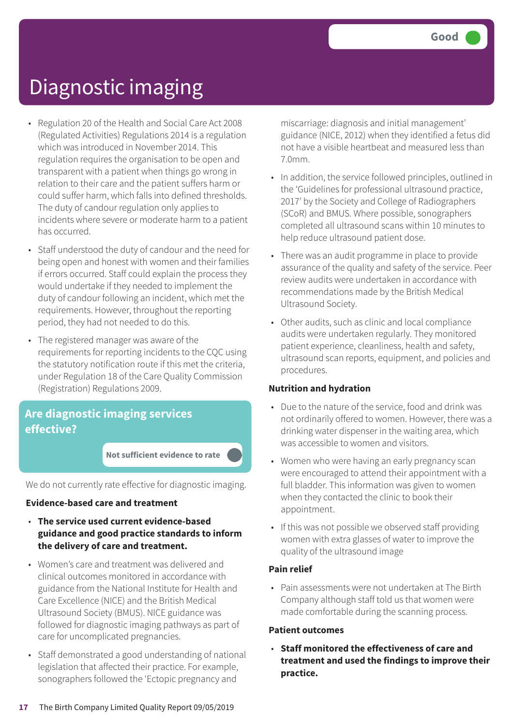- Regulation 20 of the Health and Social Care Act 2008 (Regulated Activities) Regulations 2014 is a regulation which was introduced in November 2014. This regulation requires the organisation to be open and transparent with a patient when things go wrong in relation to their care and the patient suffers harm or could suffer harm, which falls into defined thresholds. The duty of candour regulation only applies to incidents where severe or moderate harm to a patient has occurred.
- Staff understood the duty of candour and the need for being open and honest with women and their families if errors occurred. Staff could explain the process they would undertake if they needed to implement the duty of candour following an incident, which met the requirements. However, throughout the reporting period, they had not needed to do this.
- The registered manager was aware of the requirements for reporting incidents to the CQC using the statutory notification route if this met the criteria, under Regulation 18 of the Care Quality Commission (Registration) Regulations 2009.

### **Are diagnostic imaging services effective?**

**Not sufficient evidence to rate –––**

We do not currently rate effective for diagnostic imaging.

#### **Evidence-based care and treatment**

- **The service used current evidence-based guidance and good practice standards to inform the delivery of care and treatment.**
- Women's care and treatment was delivered and clinical outcomes monitored in accordance with guidance from the National Institute for Health and Care Excellence (NICE) and the British Medical Ultrasound Society (BMUS). NICE guidance was followed for diagnostic imaging pathways as part of care for uncomplicated pregnancies.
- Staff demonstrated a good understanding of national legislation that affected their practice. For example, sonographers followed the 'Ectopic pregnancy and

miscarriage: diagnosis and initial management' guidance (NICE, 2012) when they identified a fetus did not have a visible heartbeat and measured less than 7.0mm.

- In addition, the service followed principles, outlined in the 'Guidelines for professional ultrasound practice, 2017' by the Society and College of Radiographers (SCoR) and BMUS. Where possible, sonographers completed all ultrasound scans within 10 minutes to help reduce ultrasound patient dose.
- There was an audit programme in place to provide assurance of the quality and safety of the service. Peer review audits were undertaken in accordance with recommendations made by the British Medical Ultrasound Society.
- Other audits, such as clinic and local compliance audits were undertaken regularly. They monitored patient experience, cleanliness, health and safety, ultrasound scan reports, equipment, and policies and procedures.

#### **Nutrition and hydration**

- Due to the nature of the service, food and drink was not ordinarily offered to women. However, there was a drinking water dispenser in the waiting area, which was accessible to women and visitors.
- Women who were having an early pregnancy scan were encouraged to attend their appointment with a full bladder. This information was given to women when they contacted the clinic to book their appointment.
- If this was not possible we observed staff providing women with extra glasses of water to improve the quality of the ultrasound image

#### **Pain relief**

• Pain assessments were not undertaken at The Birth Company although staff told us that women were made comfortable during the scanning process.

#### **Patient outcomes**

• **Staff monitored the effectiveness of care and treatment and used the findings to improve their practice.**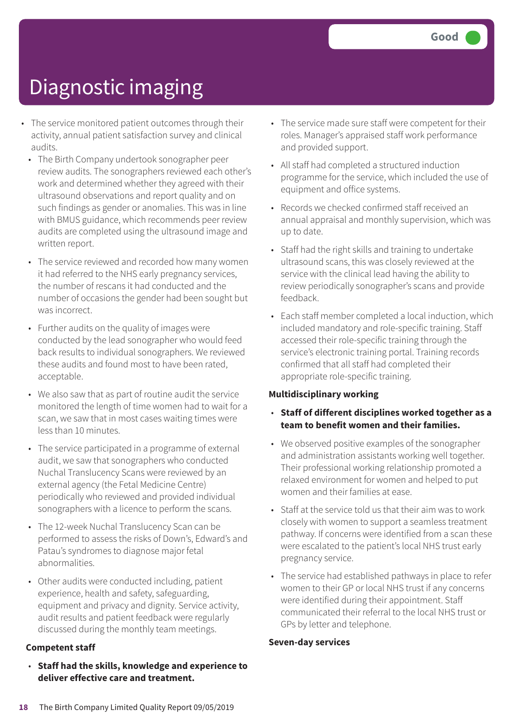- The service monitored patient outcomes through their activity, annual patient satisfaction survey and clinical audits.
	- The Birth Company undertook sonographer peer review audits. The sonographers reviewed each other's work and determined whether they agreed with their ultrasound observations and report quality and on such findings as gender or anomalies. This was in line with BMUS guidance, which recommends peer review audits are completed using the ultrasound image and written report.
	- The service reviewed and recorded how many women it had referred to the NHS early pregnancy services, the number of rescans it had conducted and the number of occasions the gender had been sought but was incorrect.
	- Further audits on the quality of images were conducted by the lead sonographer who would feed back results to individual sonographers. We reviewed these audits and found most to have been rated, acceptable.
	- We also saw that as part of routine audit the service monitored the length of time women had to wait for a scan, we saw that in most cases waiting times were less than 10 minutes.
	- The service participated in a programme of external audit, we saw that sonographers who conducted Nuchal Translucency Scans were reviewed by an external agency (the Fetal Medicine Centre) periodically who reviewed and provided individual sonographers with a licence to perform the scans.
	- The 12-week Nuchal Translucency Scan can be performed to assess the risks of Down's, Edward's and Patau's syndromes to diagnose major fetal abnormalities.
	- Other audits were conducted including, patient experience, health and safety, safeguarding, equipment and privacy and dignity. Service activity, audit results and patient feedback were regularly discussed during the monthly team meetings.

#### **Competent staff**

• **Staff had the skills, knowledge and experience to deliver effective care and treatment.**

- The service made sure staff were competent for their roles. Manager's appraised staff work performance and provided support.
- All staff had completed a structured induction programme for the service, which included the use of equipment and office systems.
- Records we checked confirmed staff received an annual appraisal and monthly supervision, which was up to date.
- Staff had the right skills and training to undertake ultrasound scans, this was closely reviewed at the service with the clinical lead having the ability to review periodically sonographer's scans and provide feedback.
- Each staff member completed a local induction, which included mandatory and role-specific training. Staff accessed their role-specific training through the service's electronic training portal. Training records confirmed that all staff had completed their appropriate role-specific training.

#### **Multidisciplinary working**

- **Staff of different disciplines worked together as a team to benefit women and their families.**
- We observed positive examples of the sonographer and administration assistants working well together. Their professional working relationship promoted a relaxed environment for women and helped to put women and their families at ease.
- Staff at the service told us that their aim was to work closely with women to support a seamless treatment pathway. If concerns were identified from a scan these were escalated to the patient's local NHS trust early pregnancy service.
- The service had established pathways in place to refer women to their GP or local NHS trust if any concerns were identified during their appointment. Staff communicated their referral to the local NHS trust or GPs by letter and telephone.

#### **Seven-day services**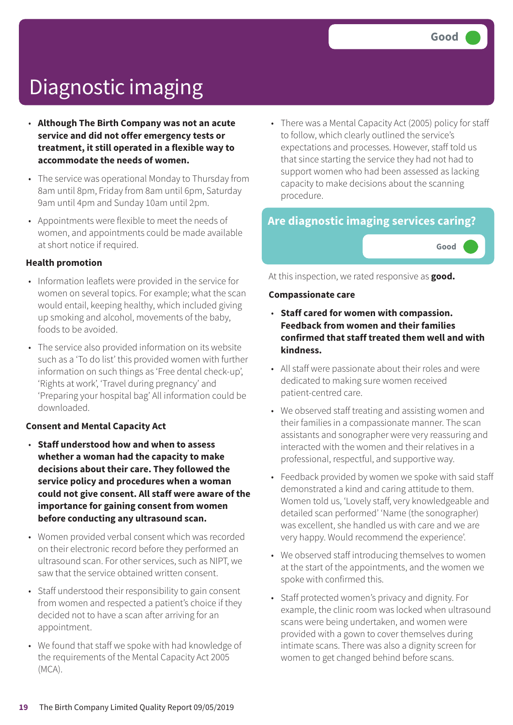- **Although The Birth Company was not an acute service and did not offer emergency tests or treatment, it still operated in a flexible way to accommodate the needs of women.**
- The service was operational Monday to Thursday from 8am until 8pm, Friday from 8am until 6pm, Saturday 9am until 4pm and Sunday 10am until 2pm.
- Appointments were flexible to meet the needs of women, and appointments could be made available at short notice if required.

#### **Health promotion**

- Information leaflets were provided in the service for women on several topics. For example; what the scan would entail, keeping healthy, which included giving up smoking and alcohol, movements of the baby, foods to be avoided.
- The service also provided information on its website such as a 'To do list' this provided women with further information on such things as 'Free dental check-up', 'Rights at work', 'Travel during pregnancy' and 'Preparing your hospital bag' All information could be downloaded.

#### **Consent and Mental Capacity Act**

- **Staff understood how and when to assess whether a woman had the capacity to make decisions about their care. They followed the service policy and procedures when a woman could not give consent. All staff were aware of the importance for gaining consent from women before conducting any ultrasound scan.**
- Women provided verbal consent which was recorded on their electronic record before they performed an ultrasound scan. For other services, such as NIPT, we saw that the service obtained written consent.
- Staff understood their responsibility to gain consent from women and respected a patient's choice if they decided not to have a scan after arriving for an appointment.
- We found that staff we spoke with had knowledge of the requirements of the Mental Capacity Act 2005 (MCA).

• There was a Mental Capacity Act (2005) policy for staff to follow, which clearly outlined the service's expectations and processes. However, staff told us that since starting the service they had not had to support women who had been assessed as lacking capacity to make decisions about the scanning procedure.

### **Are diagnostic imaging services caring?**

**Good –––**

At this inspection, we rated responsive as **good.**

#### **Compassionate care**

- **Staff cared for women with compassion. Feedback from women and their families confirmed that staff treated them well and with kindness.**
- All staff were passionate about their roles and were dedicated to making sure women received patient-centred care.
- We observed staff treating and assisting women and their families in a compassionate manner. The scan assistants and sonographer were very reassuring and interacted with the women and their relatives in a professional, respectful, and supportive way.
- Feedback provided by women we spoke with said staff demonstrated a kind and caring attitude to them. Women told us, 'Lovely staff, very knowledgeable and detailed scan performed' 'Name (the sonographer) was excellent, she handled us with care and we are very happy. Would recommend the experience'.
- We observed staff introducing themselves to women at the start of the appointments, and the women we spoke with confirmed this.
- Staff protected women's privacy and dignity. For example, the clinic room was locked when ultrasound scans were being undertaken, and women were provided with a gown to cover themselves during intimate scans. There was also a dignity screen for women to get changed behind before scans.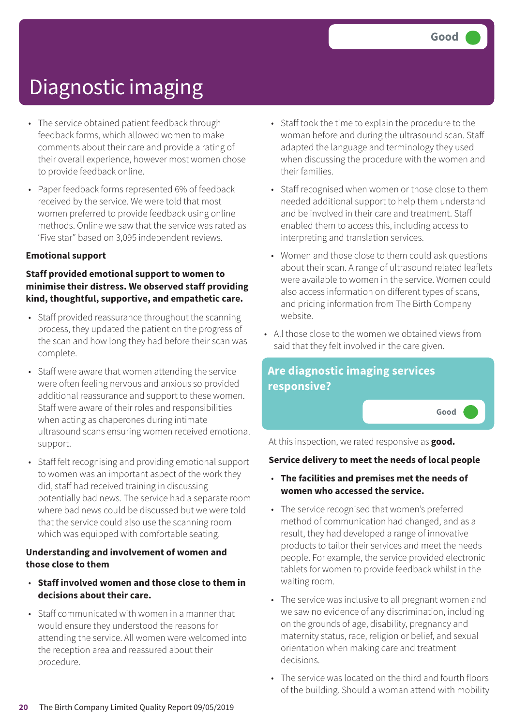- The service obtained patient feedback through feedback forms, which allowed women to make comments about their care and provide a rating of their overall experience, however most women chose to provide feedback online.
- Paper feedback forms represented 6% of feedback received by the service. We were told that most women preferred to provide feedback using online methods. Online we saw that the service was rated as 'Five star" based on 3,095 independent reviews.

#### **Emotional support**

#### **Staff provided emotional support to women to minimise their distress. We observed staff providing kind, thoughtful, supportive, and empathetic care.**

- Staff provided reassurance throughout the scanning process, they updated the patient on the progress of the scan and how long they had before their scan was complete.
- Staff were aware that women attending the service were often feeling nervous and anxious so provided additional reassurance and support to these women. Staff were aware of their roles and responsibilities when acting as chaperones during intimate ultrasound scans ensuring women received emotional support.
- Staff felt recognising and providing emotional support to women was an important aspect of the work they did, staff had received training in discussing potentially bad news. The service had a separate room where bad news could be discussed but we were told that the service could also use the scanning room which was equipped with comfortable seating.

#### **Understanding and involvement of women and those close to them**

- **Staff involved women and those close to them in decisions about their care.**
- Staff communicated with women in a manner that would ensure they understood the reasons for attending the service. All women were welcomed into the reception area and reassured about their procedure.
- Staff took the time to explain the procedure to the woman before and during the ultrasound scan. Staff adapted the language and terminology they used when discussing the procedure with the women and their families.
- Staff recognised when women or those close to them needed additional support to help them understand and be involved in their care and treatment. Staff enabled them to access this, including access to interpreting and translation services.
- Women and those close to them could ask questions about their scan. A range of ultrasound related leaflets were available to women in the service. Women could also access information on different types of scans, and pricing information from The Birth Company website.
- All those close to the women we obtained views from said that they felt involved in the care given.



At this inspection, we rated responsive as **good.**

#### **Service delivery to meet the needs of local people**

- **The facilities and premises met the needs of women who accessed the service.**
- The service recognised that women's preferred method of communication had changed, and as a result, they had developed a range of innovative products to tailor their services and meet the needs people. For example, the service provided electronic tablets for women to provide feedback whilst in the waiting room.
- The service was inclusive to all pregnant women and we saw no evidence of any discrimination, including on the grounds of age, disability, pregnancy and maternity status, race, religion or belief, and sexual orientation when making care and treatment decisions.
- The service was located on the third and fourth floors of the building. Should a woman attend with mobility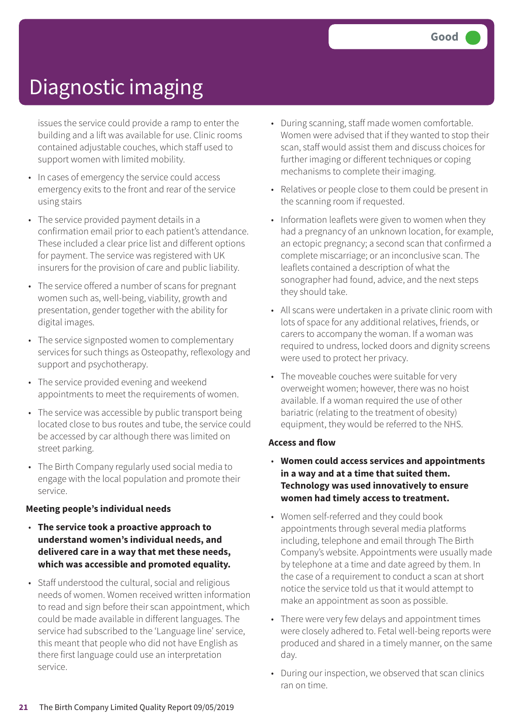issues the service could provide a ramp to enter the building and a lift was available for use. Clinic rooms contained adjustable couches, which staff used to support women with limited mobility.

- In cases of emergency the service could access emergency exits to the front and rear of the service using stairs
- The service provided payment details in a confirmation email prior to each patient's attendance. These included a clear price list and different options for payment. The service was registered with UK insurers for the provision of care and public liability.
- The service offered a number of scans for pregnant women such as, well-being, viability, growth and presentation, gender together with the ability for digital images.
- The service signposted women to complementary services for such things as Osteopathy, reflexology and support and psychotherapy.
- The service provided evening and weekend appointments to meet the requirements of women.
- The service was accessible by public transport being located close to bus routes and tube, the service could be accessed by car although there was limited on street parking.
- The Birth Company regularly used social media to engage with the local population and promote their service.

#### **Meeting people's individual needs**

- **The service took a proactive approach to understand women's individual needs, and delivered care in a way that met these needs, which was accessible and promoted equality.**
- Staff understood the cultural, social and religious needs of women. Women received written information to read and sign before their scan appointment, which could be made available in different languages. The service had subscribed to the 'Language line' service, this meant that people who did not have English as there first language could use an interpretation service.
- During scanning, staff made women comfortable. Women were advised that if they wanted to stop their scan, staff would assist them and discuss choices for further imaging or different techniques or coping mechanisms to complete their imaging.
- Relatives or people close to them could be present in the scanning room if requested.
- Information leaflets were given to women when they had a pregnancy of an unknown location, for example, an ectopic pregnancy; a second scan that confirmed a complete miscarriage; or an inconclusive scan. The leaflets contained a description of what the sonographer had found, advice, and the next steps they should take.
- All scans were undertaken in a private clinic room with lots of space for any additional relatives, friends, or carers to accompany the woman. If a woman was required to undress, locked doors and dignity screens were used to protect her privacy.
- The moveable couches were suitable for very overweight women; however, there was no hoist available. If a woman required the use of other bariatric (relating to the treatment of obesity) equipment, they would be referred to the NHS.

#### **Access and flow**

- **Women could access services and appointments in a way and at a time that suited them. Technology was used innovatively to ensure women had timely access to treatment.**
- Women self-referred and they could book appointments through several media platforms including, telephone and email through The Birth Company's website. Appointments were usually made by telephone at a time and date agreed by them. In the case of a requirement to conduct a scan at short notice the service told us that it would attempt to make an appointment as soon as possible.
- There were very few delays and appointment times were closely adhered to. Fetal well-being reports were produced and shared in a timely manner, on the same day.
- During our inspection, we observed that scan clinics ran on time.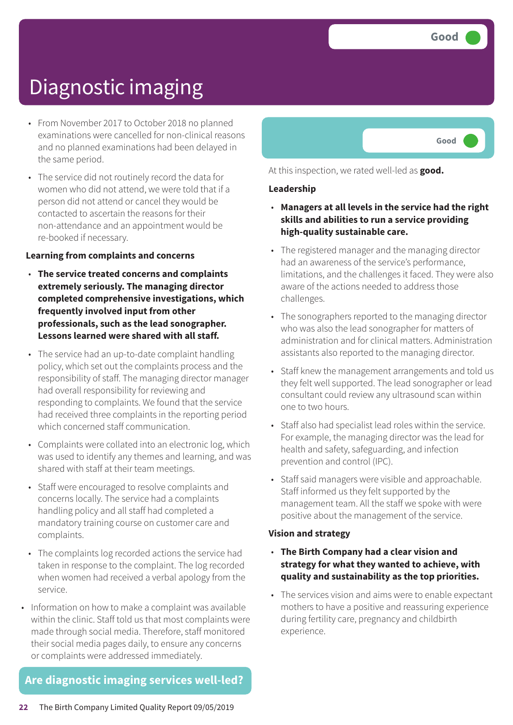- From November 2017 to October 2018 no planned examinations were cancelled for non-clinical reasons and no planned examinations had been delayed in the same period.
- The service did not routinely record the data for women who did not attend, we were told that if a person did not attend or cancel they would be contacted to ascertain the reasons for their non-attendance and an appointment would be re-booked if necessary.

#### **Learning from complaints and concerns**

- **The service treated concerns and complaints extremely seriously. The managing director completed comprehensive investigations, which frequently involved input from other professionals, such as the lead sonographer. Lessons learned were shared with all staff.**
- The service had an up-to-date complaint handling policy, which set out the complaints process and the responsibility of staff. The managing director manager had overall responsibility for reviewing and responding to complaints. We found that the service had received three complaints in the reporting period which concerned staff communication.
- Complaints were collated into an electronic log, which was used to identify any themes and learning, and was shared with staff at their team meetings.
- Staff were encouraged to resolve complaints and concerns locally. The service had a complaints handling policy and all staff had completed a mandatory training course on customer care and complaints.
- The complaints log recorded actions the service had taken in response to the complaint. The log recorded when women had received a verbal apology from the service.
- Information on how to make a complaint was available within the clinic. Staff told us that most complaints were made through social media. Therefore, staff monitored their social media pages daily, to ensure any concerns or complaints were addressed immediately.

### **Are diagnostic imaging services well-led?**



At this inspection, we rated well-led as **good.**

#### **Leadership**

- **Managers at all levels in the service had the right skills and abilities to run a service providing high-quality sustainable care.**
- The registered manager and the managing director had an awareness of the service's performance, limitations, and the challenges it faced. They were also aware of the actions needed to address those challenges.
- The sonographers reported to the managing director who was also the lead sonographer for matters of administration and for clinical matters. Administration assistants also reported to the managing director.
- Staff knew the management arrangements and told us they felt well supported. The lead sonographer or lead consultant could review any ultrasound scan within one to two hours.
- Staff also had specialist lead roles within the service. For example, the managing director was the lead for health and safety, safeguarding, and infection prevention and control (IPC).
- Staff said managers were visible and approachable. Staff informed us they felt supported by the management team. All the staff we spoke with were positive about the management of the service.

#### **Vision and strategy**

- **The Birth Company had a clear vision and strategy for what they wanted to achieve, with quality and sustainability as the top priorities.**
- The services vision and aims were to enable expectant mothers to have a positive and reassuring experience during fertility care, pregnancy and childbirth experience.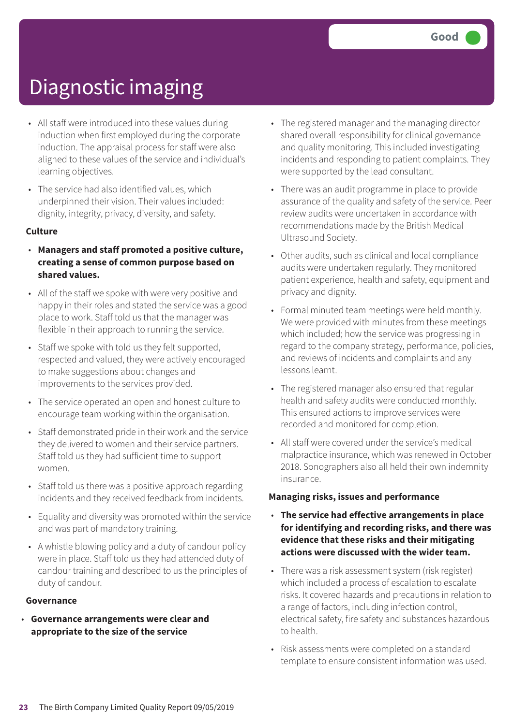- All staff were introduced into these values during induction when first employed during the corporate induction. The appraisal process for staff were also aligned to these values of the service and individual's learning objectives.
- The service had also identified values, which underpinned their vision. Their values included: dignity, integrity, privacy, diversity, and safety.

#### **Culture**

- **Managers and staff promoted a positive culture, creating a sense of common purpose based on shared values.**
- All of the staff we spoke with were very positive and happy in their roles and stated the service was a good place to work. Staff told us that the manager was flexible in their approach to running the service.
- Staff we spoke with told us they felt supported, respected and valued, they were actively encouraged to make suggestions about changes and improvements to the services provided.
- The service operated an open and honest culture to encourage team working within the organisation.
- Staff demonstrated pride in their work and the service they delivered to women and their service partners. Staff told us they had sufficient time to support women.
- Staff told us there was a positive approach regarding incidents and they received feedback from incidents.
- Equality and diversity was promoted within the service and was part of mandatory training.
- A whistle blowing policy and a duty of candour policy were in place. Staff told us they had attended duty of candour training and described to us the principles of duty of candour.

#### **Governance**

• **Governance arrangements were clear and appropriate to the size of the service**

- The registered manager and the managing director shared overall responsibility for clinical governance and quality monitoring. This included investigating incidents and responding to patient complaints. They were supported by the lead consultant.
- There was an audit programme in place to provide assurance of the quality and safety of the service. Peer review audits were undertaken in accordance with recommendations made by the British Medical Ultrasound Society.
- Other audits, such as clinical and local compliance audits were undertaken regularly. They monitored patient experience, health and safety, equipment and privacy and dignity.
- Formal minuted team meetings were held monthly. We were provided with minutes from these meetings which included; how the service was progressing in regard to the company strategy, performance, policies, and reviews of incidents and complaints and any lessons learnt.
- The registered manager also ensured that regular health and safety audits were conducted monthly. This ensured actions to improve services were recorded and monitored for completion.
- All staff were covered under the service's medical malpractice insurance, which was renewed in October 2018. Sonographers also all held their own indemnity insurance.

#### **Managing risks, issues and performance**

- **The service had effective arrangements in place for identifying and recording risks, and there was evidence that these risks and their mitigating actions were discussed with the wider team.**
- There was a risk assessment system (risk register) which included a process of escalation to escalate risks. It covered hazards and precautions in relation to a range of factors, including infection control, electrical safety, fire safety and substances hazardous to health.
- Risk assessments were completed on a standard template to ensure consistent information was used.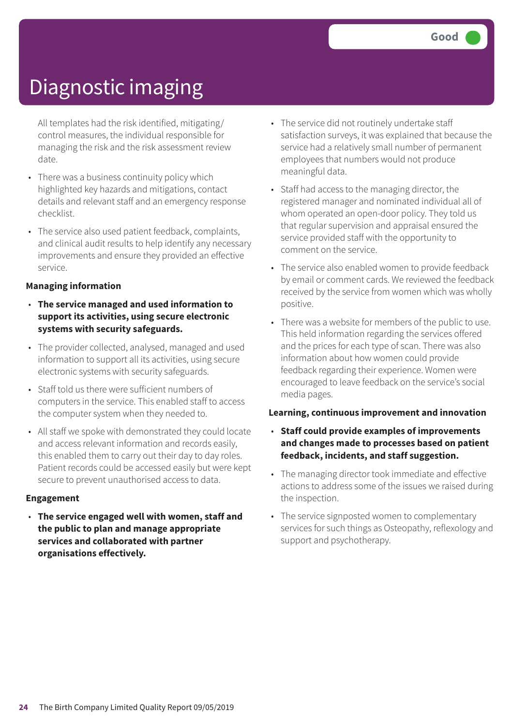All templates had the risk identified, mitigating/ control measures, the individual responsible for managing the risk and the risk assessment review date.

- There was a business continuity policy which highlighted key hazards and mitigations, contact details and relevant staff and an emergency response checklist.
- The service also used patient feedback, complaints, and clinical audit results to help identify any necessary improvements and ensure they provided an effective service.

#### **Managing information**

- **The service managed and used information to support its activities, using secure electronic systems with security safeguards.**
- The provider collected, analysed, managed and used information to support all its activities, using secure electronic systems with security safeguards.
- Staff told us there were sufficient numbers of computers in the service. This enabled staff to access the computer system when they needed to.
- All staff we spoke with demonstrated they could locate and access relevant information and records easily, this enabled them to carry out their day to day roles. Patient records could be accessed easily but were kept secure to prevent unauthorised access to data.

#### **Engagement**

• **The service engaged well with women, staff and the public to plan and manage appropriate services and collaborated with partner organisations effectively.**

- The service did not routinely undertake staff satisfaction surveys, it was explained that because the service had a relatively small number of permanent employees that numbers would not produce meaningful data.
- Staff had access to the managing director, the registered manager and nominated individual all of whom operated an open-door policy. They told us that regular supervision and appraisal ensured the service provided staff with the opportunity to comment on the service.
- The service also enabled women to provide feedback by email or comment cards. We reviewed the feedback received by the service from women which was wholly positive.
- There was a website for members of the public to use. This held information regarding the services offered and the prices for each type of scan. There was also information about how women could provide feedback regarding their experience. Women were encouraged to leave feedback on the service's social media pages.

#### **Learning, continuous improvement and innovation**

- **Staff could provide examples of improvements and changes made to processes based on patient feedback, incidents, and staff suggestion.**
- The managing director took immediate and effective actions to address some of the issues we raised during the inspection.
- The service signposted women to complementary services for such things as Osteopathy, reflexology and support and psychotherapy.